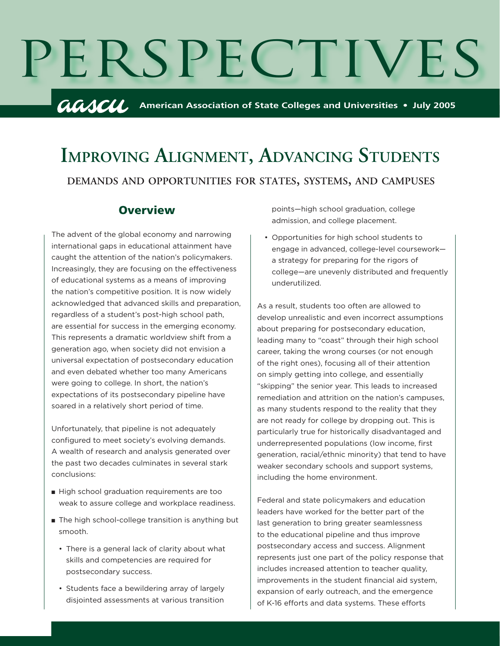

# **DEMANDS AND OPPORTUNITIES FOR STATES, SYSTEMS, AND CAMPUSES IMPROVING ALIGNMENT, ADVANCING STUDENTS**

### **Overview**

The advent of the global economy and narrowing international gaps in educational attainment have caught the attention of the nation's policymakers. Increasingly, they are focusing on the effectiveness of educational systems as a means of improving the nation's competitive position. It is now widely acknowledged that advanced skills and preparation, regardless of a student's post-high school path, are essential for success in the emerging economy. This represents a dramatic worldview shift from a generation ago, when society did not envision a universal expectation of postsecondary education and even debated whether too many Americans were going to college. In short, the nation's expectations of its postsecondary pipeline have soared in a relatively short period of time.

Unfortunately, that pipeline is not adequately configured to meet society's evolving demands. A wealth of research and analysis generated over the past two decades culminates in several stark conclusions:

- High school graduation requirements are too weak to assure college and workplace readiness.
- The high school-college transition is anything but smooth.
	- There is a general lack of clarity about what skills and competencies are required for postsecondary success.
	- Students face a bewildering array of largely disjointed assessments at various transition

points—high school graduation, college admission, and college placement.

• Opportunities for high school students to engage in advanced, college-level coursework a strategy for preparing for the rigors of college—are unevenly distributed and frequently underutilized.

As a result, students too often are allowed to develop unrealistic and even incorrect assumptions about preparing for postsecondary education, leading many to "coast" through their high school career, taking the wrong courses (or not enough of the right ones), focusing all of their attention on simply getting into college, and essentially "skipping" the senior year. This leads to increased remediation and attrition on the nation's campuses, as many students respond to the reality that they are not ready for college by dropping out. This is particularly true for historically disadvantaged and underrepresented populations (low income, first generation, racial/ethnic minority) that tend to have weaker secondary schools and support systems, including the home environment.

Federal and state policymakers and education leaders have worked for the better part of the last generation to bring greater seamlessness to the educational pipeline and thus improve postsecondary access and success. Alignment represents just one part of the policy response that includes increased attention to teacher quality, improvements in the student financial aid system, expansion of early outreach, and the emergence of K-16 efforts and data systems. These efforts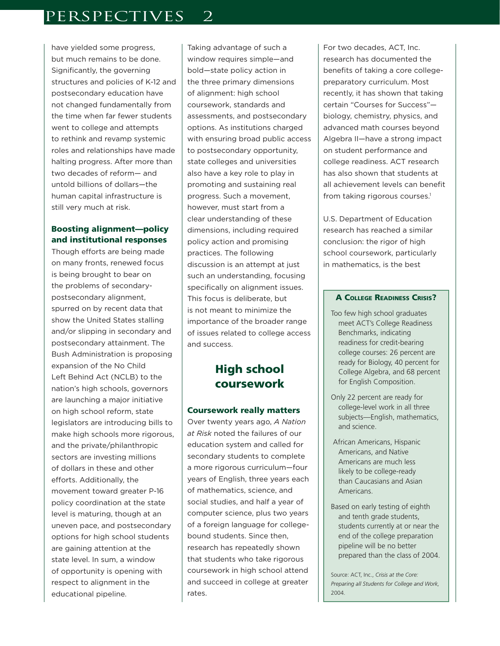have yielded some progress, but much remains to be done. Significantly, the governing structures and policies of K-12 and postsecondary education have not changed fundamentally from the time when far fewer students went to college and attempts to rethink and revamp systemic roles and relationships have made halting progress. After more than two decades of reform— and untold billions of dollars—the human capital infrastructure is still very much at risk.

### Boosting alignment—policy and institutional responses

Though efforts are being made on many fronts, renewed focus is being brought to bear on the problems of secondarypostsecondary alignment, spurred on by recent data that show the United States stalling and/or slipping in secondary and postsecondary attainment. The Bush Administration is proposing expansion of the No Child Left Behind Act (NCLB) to the nation's high schools, governors are launching a major initiative on high school reform, state legislators are introducing bills to make high schools more rigorous, and the private/philanthropic sectors are investing millions of dollars in these and other efforts. Additionally, the movement toward greater P-16 policy coordination at the state level is maturing, though at an uneven pace, and postsecondary options for high school students are gaining attention at the state level. In sum, a window of opportunity is opening with respect to alignment in the educational pipeline.

Taking advantage of such a window requires simple—and bold—state policy action in the three primary dimensions of alignment: high school coursework, standards and assessments, and postsecondary options. As institutions charged with ensuring broad public access to postsecondary opportunity, state colleges and universities also have a key role to play in promoting and sustaining real progress. Such a movement, however, must start from a clear understanding of these dimensions, including required policy action and promising practices. The following discussion is an attempt at just such an understanding, focusing specifically on alignment issues. This focus is deliberate, but is not meant to minimize the importance of the broader range of issues related to college access and success.

# High school coursework

#### Coursework really matters

Over twenty years ago, *A Nation at Risk* noted the failures of our education system and called for secondary students to complete a more rigorous curriculum—four years of English, three years each of mathematics, science, and social studies, and half a year of computer science, plus two years of a foreign language for collegebound students. Since then, research has repeatedly shown that students who take rigorous coursework in high school attend and succeed in college at greater rates.

For two decades, ACT, Inc. research has documented the benefits of taking a core collegepreparatory curriculum. Most recently, it has shown that taking certain "Courses for Success" biology, chemistry, physics, and advanced math courses beyond Algebra II—have a strong impact on student performance and college readiness. ACT research has also shown that students at all achievement levels can benefit from taking rigorous courses.<sup>1</sup>

U.S. Department of Education research has reached a similar conclusion: the rigor of high school coursework, particularly in mathematics, is the best

#### A COLLEGE READINESS CRISIS?

- Too few high school graduates meet ACT's College Readiness Benchmarks, indicating readiness for credit-bearing college courses: 26 percent are ready for Biology, 40 percent for College Algebra, and 68 percent for English Composition.
- Only 22 percent are ready for college-level work in all three subjects—English, mathematics, and science.
- African Americans, Hispanic Americans, and Native Americans are much less likely to be college-ready than Caucasians and Asian Americans.
- Based on early testing of eighth and tenth grade students, students currently at or near the end of the college preparation pipeline will be no better prepared than the class of 2004.

Source: ACT, Inc., *Crisis at the Core: Preparing all Students for College and Work,*  2004.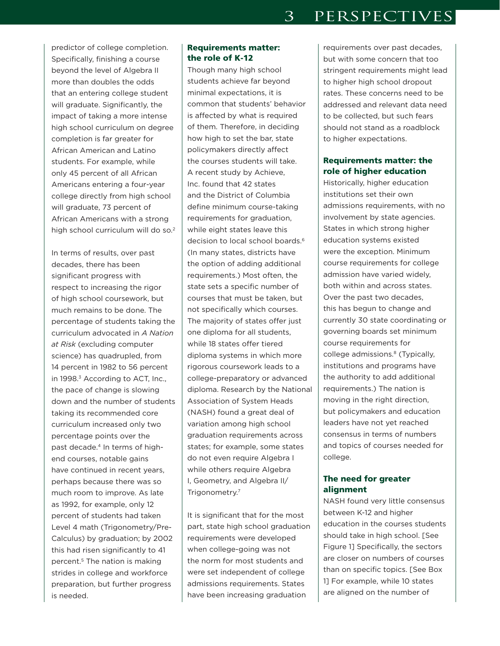predictor of college completion. Specifically, finishing a course beyond the level of Algebra II more than doubles the odds that an entering college student will graduate. Significantly, the impact of taking a more intense high school curriculum on degree completion is far greater for African American and Latino students. For example, while only 45 percent of all African Americans entering a four-year college directly from high school will graduate, 73 percent of African Americans with a strong high school curriculum will do so.<sup>2</sup>

In terms of results, over past decades, there has been significant progress with respect to increasing the rigor of high school coursework, but much remains to be done. The percentage of students taking the curriculum advocated in *A Nation at Risk* (excluding computer science) has quadrupled, from 14 percent in 1982 to 56 percent in 1998.<sup>3</sup> According to ACT, Inc., the pace of change is slowing down and the number of students taking its recommended core curriculum increased only two percentage points over the past decade.4 In terms of highend courses, notable gains have continued in recent years, perhaps because there was so much room to improve. As late as 1992, for example, only 12 percent of students had taken Level 4 math (Trigonometry/Pre-Calculus) by graduation; by 2002 this had risen significantly to 41 percent.<sup>5</sup> The nation is making strides in college and workforce preparation, but further progress is needed.

### Requirements matter: the role of K-12

Though many high school students achieve far beyond minimal expectations, it is common that students' behavior is affected by what is required of them. Therefore, in deciding how high to set the bar, state policymakers directly affect the courses students will take. A recent study by Achieve, Inc. found that 42 states and the District of Columbia define minimum course-taking requirements for graduation, while eight states leave this decision to local school boards.<sup>6</sup> (In many states, districts have the option of adding additional requirements.) Most often, the state sets a specific number of courses that must be taken, but not specifically which courses. The majority of states offer just one diploma for all students, while 18 states offer tiered diploma systems in which more rigorous coursework leads to a college-preparatory or advanced diploma. Research by the National Association of System Heads (NASH) found a great deal of variation among high school graduation requirements across states; for example, some states do not even require Algebra I while others require Algebra I, Geometry, and Algebra II/ Trigonometry.7

It is significant that for the most part, state high school graduation requirements were developed when college-going was not the norm for most students and were set independent of college admissions requirements. States have been increasing graduation

requirements over past decades, but with some concern that too stringent requirements might lead to higher high school dropout rates. These concerns need to be addressed and relevant data need to be collected, but such fears should not stand as a roadblock to higher expectations.

### Requirements matter: the role of higher education

Historically, higher education institutions set their own admissions requirements, with no involvement by state agencies. States in which strong higher education systems existed were the exception. Minimum course requirements for college admission have varied widely, both within and across states. Over the past two decades, this has begun to change and currently 30 state coordinating or governing boards set minimum course requirements for college admissions.<sup>8</sup> (Typically, institutions and programs have the authority to add additional requirements.) The nation is moving in the right direction, but policymakers and education leaders have not yet reached consensus in terms of numbers and topics of courses needed for college.

### The need for greater alignment

NASH found very little consensus between K-12 and higher education in the courses students should take in high school. [See Figure 1] Specifically, the sectors are closer on numbers of courses than on specific topics. [See Box 1] For example, while 10 states are aligned on the number of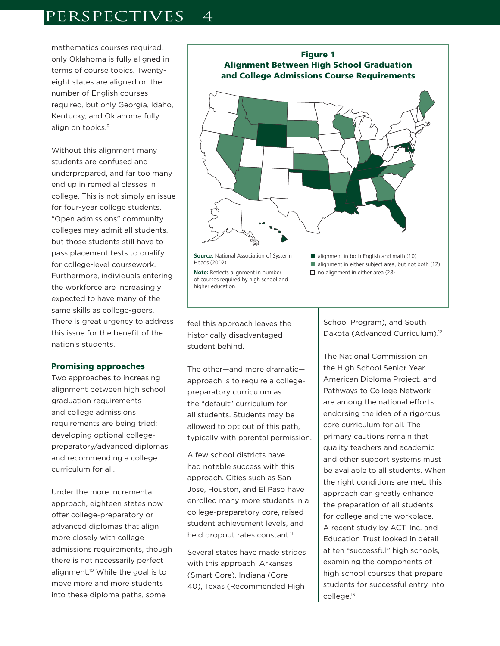mathematics courses required. only Oklahoma is fully aligned in terms of course topics. Twentyeight states are aligned on the number of English courses required, but only Georgia, Idaho, Kentucky, and Oklahoma fully align on topics.<sup>9</sup>

Without this alignment many students are confused and underprepared, and far too many end up in remedial classes in college. This is not simply an issue for four-year college students. "Open admissions" community colleges may admit all students, but those students still have to pass placement tests to qualify for college-level coursework. Furthermore, individuals entering the workforce are increasingly expected to have many of the same skills as college-goers. There is great urgency to address this issue for the benefit of the nation's students.

#### Promising approaches

Two approaches to increasing alignment between high school graduation requirements and college admissions requirements are being tried: developing optional collegepreparatory/advanced diplomas and recommending a college curriculum for all.

Under the more incremental approach, eighteen states now offer college-preparatory or advanced diplomas that align more closely with college admissions requirements, though there is not necessarily perfect alignment.10 While the goal is to move more and more students into these diploma paths, some



feel this approach leaves the historically disadvantaged student behind.

The other—and more dramatic approach is to require a collegepreparatory curriculum as the "default" curriculum for all students. Students may be allowed to opt out of this path, typically with parental permission.

A few school districts have had notable success with this approach. Cities such as San Jose, Houston, and El Paso have enrolled many more students in a college-preparatory core, raised student achievement levels, and held dropout rates constant.<sup>11</sup>

Several states have made strides with this approach: Arkansas (Smart Core), Indiana (Core 40), Texas (Recommended High

School Program), and South Dakota (Advanced Curriculum).<sup>12</sup>

The National Commission on the High School Senior Year, American Diploma Project, and Pathways to College Network are among the national efforts endorsing the idea of a rigorous core curriculum for all. The primary cautions remain that quality teachers and academic and other support systems must be available to all students. When the right conditions are met, this approach can greatly enhance the preparation of all students for college and the workplace. A recent study by ACT, Inc. and Education Trust looked in detail at ten "successful" high schools, examining the components of high school courses that prepare students for successful entry into college.13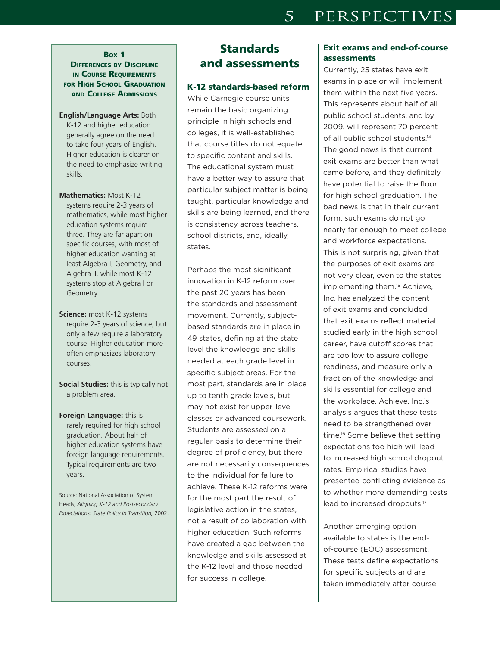### BOX 1

**DIFFERENCES BY DISCIPLINE IN COURSE REQUIREMENTS** FOR HIGH SCHOOL GRADUATION AND COLLEGE ADMISSIONS

- **English/Language Arts:** Both K-12 and higher education generally agree on the need to take four years of English. Higher education is clearer on the need to emphasize writing skills.
- **Mathematics:** Most K-12 systems require 2-3 years of mathematics, while most higher education systems require three. They are far apart on specific courses, with most of higher education wanting at least Algebra I, Geometry, and Algebra II, while most K-12 systems stop at Algebra I or Geometry.
- **Science:** most K-12 systems require 2-3 years of science, but only a few require a laboratory course. Higher education more often emphasizes laboratory courses.
- **Social Studies:** this is typically not a problem area.
- **Foreign Language:** this is rarely required for high school graduation. About half of higher education systems have foreign language requirements. Typical requirements are two years.

Source: National Association of System Heads, *Aligning K-12 and Postsecondary Expectations: State Policy in Transition,* 2002.

# **Standards** and assessments

#### K-12 standards-based reform

While Carnegie course units remain the basic organizing principle in high schools and colleges, it is well-established that course titles do not equate to specific content and skills. The educational system must have a better way to assure that particular subject matter is being taught, particular knowledge and skills are being learned, and there is consistency across teachers, school districts, and, ideally, states.

Perhaps the most significant innovation in K-12 reform over the past 20 years has been the standards and assessment movement. Currently, subjectbased standards are in place in 49 states, defining at the state level the knowledge and skills needed at each grade level in specific subject areas. For the most part, standards are in place up to tenth grade levels, but may not exist for upper-level classes or advanced coursework. Students are assessed on a regular basis to determine their degree of proficiency, but there are not necessarily consequences to the individual for failure to achieve. These K-12 reforms were for the most part the result of legislative action in the states, not a result of collaboration with higher education. Such reforms have created a gap between the knowledge and skills assessed at the K-12 level and those needed for success in college.

### Exit exams and end-of-course assessments

Currently, 25 states have exit exams in place or will implement them within the next five years. This represents about half of all public school students, and by 2009, will represent 70 percent of all public school students.<sup>14</sup> The good news is that current exit exams are better than what came before, and they definitely have potential to raise the floor for high school graduation. The bad news is that in their current form, such exams do not go nearly far enough to meet college and workforce expectations. This is not surprising, given that the purposes of exit exams are not very clear, even to the states implementing them.<sup>15</sup> Achieve, Inc. has analyzed the content of exit exams and concluded that exit exams reflect material studied early in the high school career, have cutoff scores that are too low to assure college readiness, and measure only a fraction of the knowledge and skills essential for college and the workplace. Achieve, Inc.'s analysis argues that these tests need to be strengthened over time.16 Some believe that setting expectations too high will lead to increased high school dropout rates. Empirical studies have presented conflicting evidence as to whether more demanding tests lead to increased dropouts.17

Another emerging option available to states is the endof-course (EOC) assessment. These tests define expectations for specific subjects and are taken immediately after course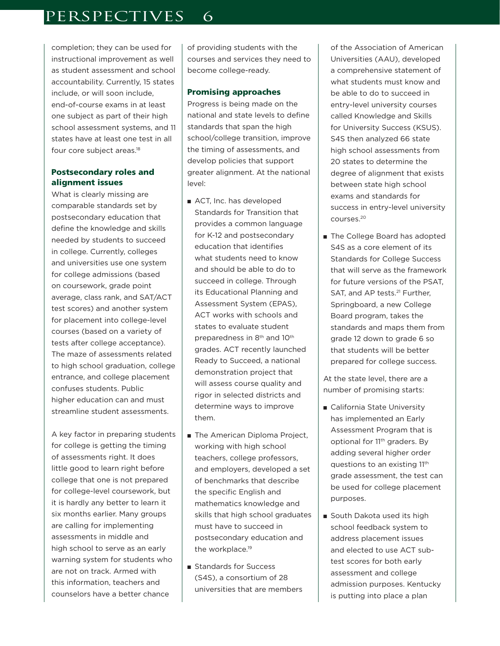completion; they can be used for instructional improvement as well as student assessment and school accountability. Currently, 15 states include, or will soon include, end-of-course exams in at least one subject as part of their high school assessment systems, and 11 states have at least one test in all four core subject areas.18

#### Postsecondary roles and alignment issues

What is clearly missing are comparable standards set by postsecondary education that define the knowledge and skills needed by students to succeed in college. Currently, colleges and universities use one system for college admissions (based on coursework, grade point average, class rank, and SAT/ACT test scores) and another system for placement into college-level courses (based on a variety of tests after college acceptance). The maze of assessments related to high school graduation, college entrance, and college placement confuses students. Public higher education can and must streamline student assessments.

A key factor in preparing students for college is getting the timing of assessments right. It does little good to learn right before college that one is not prepared for college-level coursework, but it is hardly any better to learn it six months earlier. Many groups are calling for implementing assessments in middle and high school to serve as an early warning system for students who are not on track. Armed with this information, teachers and counselors have a better chance

of providing students with the courses and services they need to become college-ready.

#### Promising approaches

Progress is being made on the national and state levels to define standards that span the high school/college transition, improve the timing of assessments, and develop policies that support greater alignment. At the national level:

- ACT, Inc. has developed Standards for Transition that provides a common language for K-12 and postsecondary education that identifies what students need to know and should be able to do to succeed in college. Through its Educational Planning and Assessment System (EPAS), ACT works with schools and states to evaluate student preparedness in 8th and 10th grades. ACT recently launched Ready to Succeed, a national demonstration project that will assess course quality and rigor in selected districts and determine ways to improve them.
- The American Diploma Project, working with high school teachers, college professors, and employers, developed a set of benchmarks that describe the specific English and mathematics knowledge and skills that high school graduates must have to succeed in postsecondary education and the workplace.<sup>19</sup>
- Standards for Success (S4S), a consortium of 28 universities that are members

of the Association of American Universities (AAU), developed a comprehensive statement of what students must know and be able to do to succeed in entry-level university courses called Knowledge and Skills for University Success (KSUS). S4S then analyzed 66 state high school assessments from 20 states to determine the degree of alignment that exists between state high school exams and standards for success in entry-level university courses.20

■ The College Board has adopted S4S as a core element of its Standards for College Success that will serve as the framework for future versions of the PSAT, SAT, and AP tests.<sup>21</sup> Further, Springboard, a new College Board program, takes the standards and maps them from grade 12 down to grade 6 so that students will be better prepared for college success.

At the state level, there are a number of promising starts:

- California State University has implemented an Early Assessment Program that is optional for 11<sup>th</sup> graders. By adding several higher order questions to an existing 11th grade assessment, the test can be used for college placement purposes.
- South Dakota used its high school feedback system to address placement issues and elected to use ACT subtest scores for both early assessment and college admission purposes. Kentucky is putting into place a plan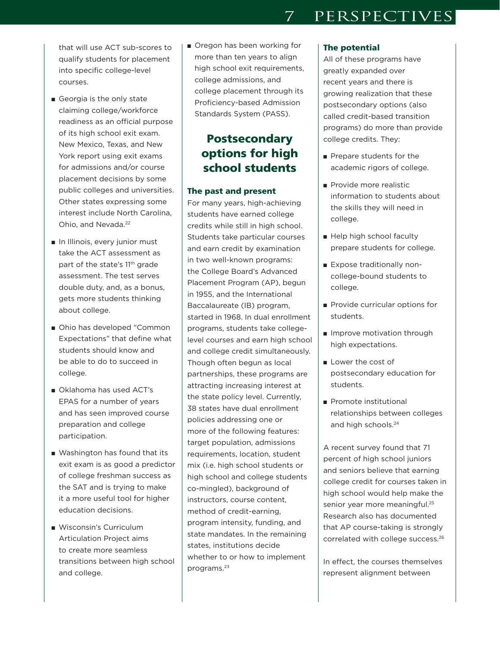that will use ACT sub-scores to qualify students for placement into specific college-level courses.

- Georgia is the only state claiming college/workforce readiness as an official purpose of its high school exit exam. New Mexico, Texas, and New York report using exit exams for admissions and/or course placement decisions by some public colleges and universities. Other states expressing some interest include North Carolina, Ohio, and Nevada.<sup>22</sup>
- In Illinois, every junior must take the ACT assessment as part of the state's 11<sup>th</sup> grade assessment. The test serves double duty, and, as a bonus, gets more students thinking about college.
- Ohio has developed "Common Expectations" that define what students should know and be able to do to succeed in college.
- Oklahoma has used ACT's EPAS for a number of years and has seen improved course preparation and college participation.
- Washington has found that its exit exam is as good a predictor of college freshman success as the SAT and is trying to make it a more useful tool for higher education decisions.
- Wisconsin's Curriculum Articulation Project aims to create more seamless transitions between high school and college.

■ Oregon has been working for more than ten years to align high school exit requirements, college admissions, and college placement through its Proficiency-based Admission Standards System (PASS).

## Postsecondary options for high school students

#### The past and present

For many years, high-achieving students have earned college credits while still in high school. Students take particular courses and earn credit by examination in two well-known programs: the College Board's Advanced Placement Program (AP), begun in 1955, and the International Baccalaureate (IB) program, started in 1968. In dual enrollment programs, students take collegelevel courses and earn high school and college credit simultaneously. Though often begun as local partnerships, these programs are attracting increasing interest at the state policy level. Currently, 38 states have dual enrollment policies addressing one or more of the following features: target population, admissions requirements, location, student mix (i.e. high school students or high school and college students co-mingled), background of instructors, course content, method of credit-earning, program intensity, funding, and state mandates. In the remaining states, institutions decide whether to or how to implement programs.23

#### The potential

All of these programs have greatly expanded over recent years and there is growing realization that these postsecondary options (also called credit-based transition programs) do more than provide college credits. They:

- Prepare students for the academic rigors of college.
- Provide more realistic information to students about the skills they will need in college.
- Help high school faculty prepare students for college.
- Expose traditionally noncollege-bound students to college.
- Provide curricular options for students.
- Improve motivation through high expectations.
- Lower the cost of postsecondary education for students.
- Promote institutional relationships between colleges and high schools.<sup>24</sup>

A recent survey found that 71 percent of high school juniors and seniors believe that earning college credit for courses taken in high school would help make the senior year more meaningful.<sup>25</sup> Research also has documented that AP course-taking is strongly correlated with college success.26

In effect, the courses themselves represent alignment between

# 7 PERSPECTIVES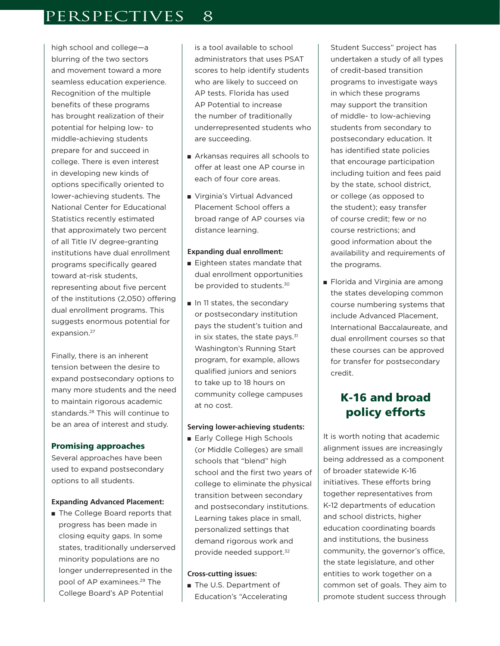high school and college—a blurring of the two sectors and movement toward a more seamless education experience. Recognition of the multiple benefits of these programs has brought realization of their potential for helping low- to middle-achieving students prepare for and succeed in college. There is even interest in developing new kinds of options specifically oriented to lower-achieving students. The National Center for Educational Statistics recently estimated that approximately two percent of all Title IV degree-granting institutions have dual enrollment programs specifically geared toward at-risk students, representing about five percent of the institutions (2,050) offering dual enrollment programs. This suggests enormous potential for expansion.<sup>27</sup>

Finally, there is an inherent tension between the desire to expand postsecondary options to many more students and the need to maintain rigorous academic standards.28 This will continue to be an area of interest and study.

#### Promising approaches

Several approaches have been used to expand postsecondary options to all students.

#### **Expanding Advanced Placement:**

■ The College Board reports that progress has been made in closing equity gaps. In some states, traditionally underserved minority populations are no longer underrepresented in the pool of AP examinees.29 The College Board's AP Potential

is a tool available to school administrators that uses PSAT scores to help identify students who are likely to succeed on AP tests. Florida has used AP Potential to increase the number of traditionally underrepresented students who are succeeding.

- Arkansas requires all schools to offer at least one AP course in each of four core areas.
- Virginia's Virtual Advanced Placement School offers a broad range of AP courses via distance learning.

#### **Expanding dual enrollment:**

- Eighteen states mandate that dual enrollment opportunities be provided to students.<sup>30</sup>
- In 11 states, the secondary or postsecondary institution pays the student's tuition and in six states, the state pays.<sup>31</sup> Washington's Running Start program, for example, allows qualified juniors and seniors to take up to 18 hours on community college campuses at no cost.

#### **Serving lower-achieving students:**

■ Early College High Schools (or Middle Colleges) are small schools that "blend" high school and the first two years of college to eliminate the physical transition between secondary and postsecondary institutions. Learning takes place in small, personalized settings that demand rigorous work and provide needed support.<sup>32</sup>

#### **Cross-cutting issues:**

■ The U.S. Department of Education's "Accelerating

Student Success" project has undertaken a study of all types of credit-based transition programs to investigate ways in which these programs may support the transition of middle- to low-achieving students from secondary to postsecondary education. It has identified state policies that encourage participation including tuition and fees paid by the state, school district, or college (as opposed to the student); easy transfer of course credit; few or no course restrictions; and good information about the availability and requirements of the programs.

■ Florida and Virginia are among the states developing common course numbering systems that include Advanced Placement, International Baccalaureate, and dual enrollment courses so that these courses can be approved for transfer for postsecondary credit.

# K-16 and broad policy efforts

It is worth noting that academic alignment issues are increasingly being addressed as a component of broader statewide K-16 initiatives. These efforts bring together representatives from K-12 departments of education and school districts, higher education coordinating boards and institutions, the business community, the governor's office, the state legislature, and other entities to work together on a common set of goals. They aim to promote student success through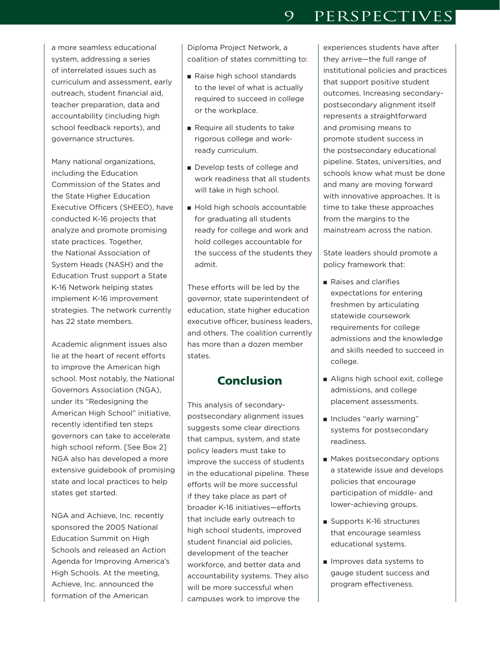a more seamless educational system, addressing a series of interrelated issues such as curriculum and assessment, early outreach, student financial aid, teacher preparation, data and accountability (including high school feedback reports), and governance structures.

Many national organizations, including the Education Commission of the States and the State Higher Education Executive Officers (SHEEO), have conducted K-16 projects that analyze and promote promising state practices. Together, the National Association of System Heads (NASH) and the Education Trust support a State K-16 Network helping states implement K-16 improvement strategies. The network currently has 22 state members.

Academic alignment issues also lie at the heart of recent efforts to improve the American high school. Most notably, the National Governors Association (NGA), under its "Redesigning the American High School" initiative, recently identified ten steps governors can take to accelerate high school reform. [See Box 2] NGA also has developed a more extensive guidebook of promising state and local practices to help states get started.

NGA and Achieve, Inc. recently sponsored the 2005 National Education Summit on High Schools and released an Action Agenda for Improving America's High Schools. At the meeting, Achieve, Inc. announced the formation of the American

Diploma Project Network, a coalition of states committing to:

- Raise high school standards to the level of what is actually required to succeed in college or the workplace.
- Require all students to take rigorous college and workready curriculum.
- Develop tests of college and work readiness that all students will take in high school.
- Hold high schools accountable for graduating all students ready for college and work and hold colleges accountable for the success of the students they admit.

These efforts will be led by the governor, state superintendent of education, state higher education executive officer, business leaders, and others. The coalition currently has more than a dozen member states.

### **Conclusion**

This analysis of secondarypostsecondary alignment issues suggests some clear directions that campus, system, and state policy leaders must take to improve the success of students in the educational pipeline. These efforts will be more successful if they take place as part of broader K-16 initiatives—efforts that include early outreach to high school students, improved student financial aid policies, development of the teacher workforce, and better data and accountability systems. They also will be more successful when campuses work to improve the

experiences students have after they arrive—the full range of institutional policies and practices that support positive student outcomes. Increasing secondarypostsecondary alignment itself represents a straightforward and promising means to promote student success in the postsecondary educational pipeline. States, universities, and schools know what must be done and many are moving forward with innovative approaches. It is time to take these approaches from the margins to the mainstream across the nation.

State leaders should promote a policy framework that:

- Raises and clarifies expectations for entering freshmen by articulating statewide coursework requirements for college admissions and the knowledge and skills needed to succeed in college.
- Aligns high school exit, college admissions, and college placement assessments.
- Includes "early warning" systems for postsecondary readiness.
- Makes postsecondary options a statewide issue and develops policies that encourage participation of middle- and lower-achieving groups.
- Supports K-16 structures that encourage seamless educational systems.
- Improves data systems to gauge student success and program effectiveness.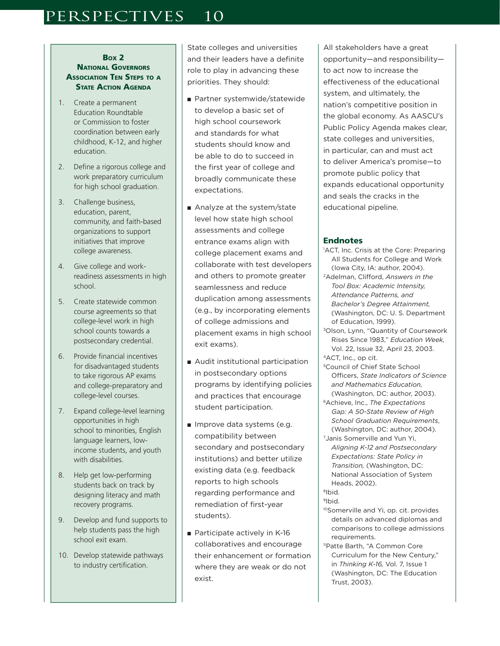#### BOX 2 NATIONAL GOVERNORS **ASSOCIATION TEN STEPS TO A** STATE ACTION AGENDA

- 1. Create a permanent Education Roundtable or Commission to foster coordination between early childhood, K-12, and higher education.
- 2. Define a rigorous college and work preparatory curriculum for high school graduation.
- 3. Challenge business, education, parent, community, and faith-based organizations to support initiatives that improve college awareness.
- 4. Give college and workreadiness assessments in high school.
- 5. Create statewide common course agreements so that college-level work in high school counts towards a postsecondary credential.
- 6. Provide financial incentives for disadvantaged students to take rigorous AP exams and college-preparatory and college-level courses.
- 7. Expand college-level learning opportunities in high school to minorities, English language learners, lowincome students, and youth with disabilities.
- 8. Help get low-performing students back on track by designing literacy and math recovery programs.
- 9. Develop and fund supports to help students pass the high school exit exam.
- 10. Develop statewide pathways to industry certification.

State colleges and universities and their leaders have a definite role to play in advancing these priorities. They should:

- Partner systemwide/statewide to develop a basic set of high school coursework and standards for what students should know and be able to do to succeed in the first year of college and broadly communicate these expectations.
- Analyze at the system/state level how state high school assessments and college entrance exams align with college placement exams and collaborate with test developers and others to promote greater seamlessness and reduce duplication among assessments (e.g., by incorporating elements of college admissions and placement exams in high school exit exams).
- Audit institutional participation in postsecondary options programs by identifying policies and practices that encourage student participation.
- Improve data systems (e.g. compatibility between secondary and postsecondary institutions) and better utilize existing data (e.g. feedback reports to high schools regarding performance and remediation of first-year students).
- Participate actively in K-16 collaboratives and encourage their enhancement or formation where they are weak or do not exist.

All stakeholders have a great opportunity—and responsibility to act now to increase the effectiveness of the educational system, and ultimately, the nation's competitive position in the global economy. As AASCU's Public Policy Agenda makes clear, state colleges and universities, in particular, can and must act to deliver America's promise—to promote public policy that expands educational opportunity and seals the cracks in the educational pipeline.

### **Endnotes**

- 1 ACT, Inc. Crisis at the Core: Preparing All Students for College and Work (Iowa City, IA: author, 2004).
- 2Adelman, Clifford, *Answers in the Tool Box: Academic Intensity, Attendance Patterns, and Bachelor's Degree Attainment,*  (Washington, DC: U. S. Department of Education, 1999).
- 3Olson, Lynn, "Quantity of Coursework Rises Since 1983," *Education Week,* Vol. 22, Issue 32, April 23, 2003.
- 4ACT, Inc., op cit.
- 5Council of Chief State School Officers, *State Indicators of Science and Mathematics Education,* (Washington, DC: author, 2003).
- 6Achieve, Inc., *The Expectations Gap: A 50-State Review of High School Graduation Requirements*, (Washington, DC: author, 2004).
- 7Janis Somerville and Yun Yi, *Aligning K-12 and Postsecondary Expectations: State Policy in Transition,* (Washington, DC: National Association of System Heads, 2002).

- 10Somerville and Yi, op. cit. provides details on advanced diplomas and comparisons to college admissions requirements.
- 11Patte Barth, "A Common Core Curriculum for the New Century," in *Thinking K-16,* Vol. 7, Issue 1 (Washington, DC: The Education Trust, 2003).

<sup>8</sup>Ibid. 9Ibid.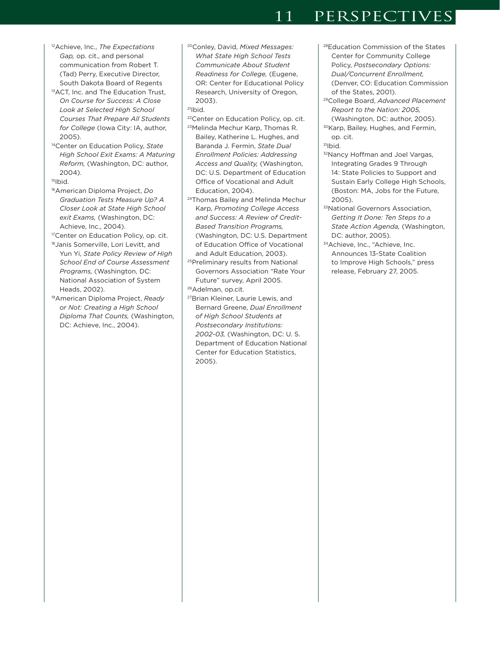- 12Achieve, Inc., *The Expectations Gap,* op. cit., and personal communication from Robert T. (Tad) Perry, Executive Director, South Dakota Board of Regents
- <sup>13</sup>ACT, Inc. and The Education Trust, *On Course for Success: A Close Look at Selected High School Courses That Prepare All Students for College* (Iowa City: IA, author, 2005).
- 14Center on Education Policy, *State High School Exit Exams: A Maturing Reform,* (Washington, DC: author, 2004).

 $15$ Ibid.

16American Diploma Project, *Do Graduation Tests Measure Up? A Closer Look at State High School exit Exams,* (Washington, DC: Achieve, Inc., 2004).

<sup>17</sup>Center on Education Policy, op. cit.

- 18Janis Somerville, Lori Levitt, and Yun Yi, *State Policy Review of High School End of Course Assessment Programs,* (Washington, DC: National Association of System Heads, 2002).
- 19American Diploma Project, *Ready or Not: Creating a High School Diploma That Counts,* (Washington, DC: Achieve, Inc., 2004).
- 20Conley, David, *Mixed Messages: What State High School Tests Communicate About Student Readiness for College,* (Eugene, OR: Center for Educational Policy Research, University of Oregon, 2003).
- $21$ |bid.
- 22Center on Education Policy, op. cit. 23Melinda Mechur Karp, Thomas R. Bailey, Katherine L. Hughes, and Baranda J. Fermin, *State Dual Enrollment Policies: Addressing Access and Quality,* (Washington, DC: U.S. Department of Education Office of Vocational and Adult Education, 2004).
- <sup>24</sup>Thomas Bailey and Melinda Mechur Karp, *Promoting College Access and Success: A Review of Credit-Based Transition Programs,* (Washington, DC: U.S. Department of Education Office of Vocational and Adult Education, 2003).
- 25Preliminary results from National Governors Association "Rate Your Future" survey, April 2005. 26Adelman, op.cit.
- 27Brian Kleiner, Laurie Lewis, and Bernard Greene, *Dual Enrollment of High School Students at Postsecondary Institutions: 2002-03,* (Washington, DC: U. S. Department of Education National Center for Education Statistics, 2005).
- 28Education Commission of the States Center for Community College Policy, *Postsecondary Options: Dual/Concurrent Enrollment,* (Denver, CO: Education Commission of the States, 2001).
- 29College Board, *Advanced Placement Report to the Nation: 2005,* (Washington, DC: author, 2005).
- 30Karp, Bailey, Hughes, and Fermin, op. cit.
- $31$ Ibid.
- 32Nancy Hoffman and Joel Vargas, Integrating Grades 9 Through 14: State Policies to Support and Sustain Early College High Schools, (Boston: MA, Jobs for the Future, 2005).
- 33National Governors Association, *Getting It Done: Ten Steps to a State Action Agenda,* (Washington, DC: author, 2005).
- 34Achieve, Inc., "Achieve, Inc. Announces 13-State Coalition to Improve High Schools," press release, February 27, 2005.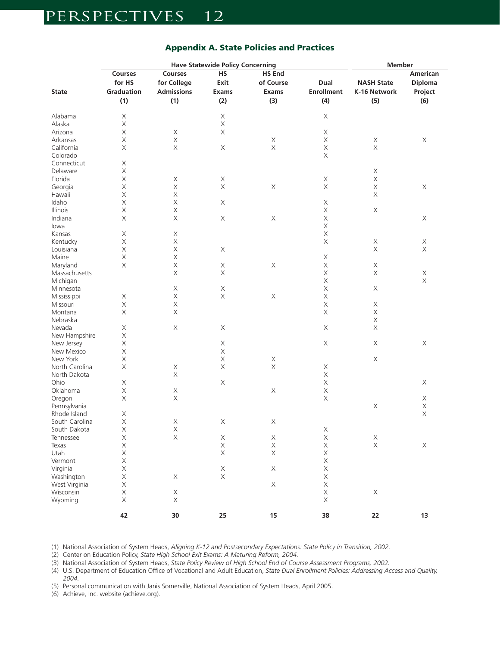|                | <b>Have Statewide Policy Concerning</b> |                   |                           |               |                   | <b>Member</b>            |                |
|----------------|-----------------------------------------|-------------------|---------------------------|---------------|-------------------|--------------------------|----------------|
|                | Courses                                 | Courses           | <b>HS</b>                 | <b>HS End</b> |                   | American                 |                |
|                | for HS                                  | for College       | Exit                      | of Course     | Dual              | <b>NASH State</b>        | <b>Diploma</b> |
| <b>State</b>   | Graduation                              | <b>Admissions</b> | <b>Exams</b>              | Exams         | <b>Enrollment</b> | K-16 Network             | Project        |
|                | (1)                                     | (1)               | (2)                       | (3)           | (4)               | (5)                      | (6)            |
|                |                                         |                   |                           |               |                   |                          |                |
| Alabama        | X                                       |                   | X                         |               | X                 |                          |                |
| Alaska         | $\mathsf X$                             |                   | $\mathsf X$               |               |                   |                          |                |
| Arizona        | $\mathsf X$                             | X                 | $\boldsymbol{\mathsf{X}}$ |               | Χ                 |                          |                |
| Arkansas       | $\mathsf X$                             | $\mathsf X$       |                           | $\mathsf X$   | Χ                 | $\mathsf X$              | X              |
| California     | $\mathsf X$                             | $\mathsf X$       | $\mathsf X$               | $\mathsf X$   | $\mathsf X$       | $\mathsf X$              |                |
| Colorado       |                                         |                   |                           |               | Χ                 |                          |                |
| Connecticut    | X                                       |                   |                           |               |                   |                          |                |
| Delaware       | $\mathsf X$                             |                   |                           |               |                   | X                        |                |
| Florida        | $\mathsf X$                             | X                 | $\mathsf X$               |               | $\mathsf X$       | $\mathsf X$              |                |
| Georgia        | $\mathsf X$                             | $\mathsf X$       | $\mathsf X$               | $\mathsf X$   | $\mathsf X$       | X                        | X              |
| Hawaii         | X                                       | X                 |                           |               |                   | $\times$                 |                |
| Idaho          | $\mathsf X$                             | $\mathsf X$       | X                         |               | $\mathsf X$       |                          |                |
| Illinois       | $\mathsf X$                             | X                 |                           |               | $\mathsf X$       | $\mathsf X$              |                |
| Indiana        |                                         | $\mathsf X$       |                           |               | $\mathsf X$       |                          |                |
|                | X                                       |                   | $\mathsf X$               | $\mathsf X$   |                   |                          | X              |
| lowa           |                                         |                   |                           |               | $\mathsf X$       |                          |                |
| Kansas         | X                                       | X                 |                           |               | $\mathsf X$       |                          |                |
| Kentucky       | X                                       | X                 |                           |               | X                 | $\mathsf X$              | $\mathsf X$    |
| Louisiana      | $\mathsf X$                             | $\mathsf X$       | X                         |               |                   | $\mathsf X$              | $\mathsf X$    |
| Maine          | $\mathsf X$                             | $\mathsf X$       |                           |               | Χ                 |                          |                |
| Maryland       | $\mathsf X$                             | $\mathsf X$       | X                         | $\mathsf X$   | $\mathsf X$       | X                        |                |
| Massachusetts  |                                         | X                 | X                         |               | Χ                 | $\mathsf X$              | Χ              |
| Michigan       |                                         |                   |                           |               | $\mathsf X$       |                          | $\mathsf X$    |
| Minnesota      |                                         | X                 | $\mathsf X$               |               | $\mathsf X$       | $\mathsf X$              |                |
| Mississippi    | X                                       | $\mathsf X$       | $\mathsf X$               | $\mathsf X$   | $\mathsf X$       |                          |                |
| Missouri       | $\mathsf X$                             | $\mathsf X$       |                           |               | $\mathsf X$       | X                        |                |
| Montana        | $\mathsf X$                             | X                 |                           |               | Χ                 | X                        |                |
| Nebraska       |                                         |                   |                           |               |                   | $\mathsf X$              |                |
| Nevada         | X                                       | $\mathsf X$       | X                         |               | X                 | $\mathsf X$              |                |
| New Hampshire  | $\mathsf X$                             |                   |                           |               |                   |                          |                |
| New Jersey     | $\mathsf X$                             |                   | X                         |               | X                 | $\mathsf X$              | X              |
| New Mexico     | X                                       |                   | X                         |               |                   |                          |                |
| New York       | $\mathsf X$                             |                   | $\mathsf X$               | X             |                   | $\mathsf X$              |                |
| North Carolina | $\mathsf X$                             | X                 | $\mathsf X$               | $\mathsf X$   | X                 |                          |                |
| North Dakota   |                                         | $\mathsf X$       |                           |               | $\mathsf X$       |                          |                |
| Ohio           | X                                       |                   | $\mathsf X$               |               | $\mathsf X$       |                          | X              |
| Oklahoma       | X                                       | $\mathsf X$       |                           | $\mathsf X$   | $\mathsf X$       |                          |                |
| Oregon         | $\mathsf X$                             | X                 |                           |               | $\mathsf X$       |                          | $\mathsf X$    |
| Pennsylvania   |                                         |                   |                           |               |                   | $\mathsf X$              | $\mathsf X$    |
| Rhode Island   | $\mathsf X$                             |                   |                           |               |                   |                          | $\mathsf X$    |
| South Carolina | $\mathsf X$                             | $\mathsf X$       | X                         | X             |                   |                          |                |
| South Dakota   | X                                       | X                 |                           |               | X                 |                          |                |
| Tennessee      | $\mathsf X$                             | $\mathsf X$       | $\mathsf X$               | X             | $\mathsf X$       |                          |                |
| Texas          | $\mathsf X$                             |                   | $\mathsf X$               | $\mathsf X$   | $\mathsf X$       | $_\mathrm{X}^\mathrm{X}$ | $\mathsf X$    |
| Utah           | $\mathsf X$                             |                   | $\mathsf X$               | $\mathsf X$   | $\mathsf X$       |                          |                |
|                |                                         |                   |                           |               |                   |                          |                |
| Vermont        | $\mathsf X$                             |                   |                           |               | $\mathsf X$       |                          |                |
| Virginia       | $\mathsf X$                             |                   | $\mathsf X$               | $\mathsf X$   | $\mathsf X$       |                          |                |
| Washington     | $\mathsf X$                             | $\mathsf X$       | $\mathsf X$               |               | $\mathsf X$       |                          |                |
| West Virginia  | $\mathsf X$                             |                   |                           | $\mathsf X$   | $\mathsf X$       |                          |                |
| Wisconsin      | $\mathsf X$                             | $\mathsf X$       |                           |               | $\mathsf X$       | $\mathsf X$              |                |
| Wyoming        | $\mathsf X$                             | $\mathsf X$       |                           |               | $\mathsf X$       |                          |                |
|                | 42                                      | 30                | 25                        | 15            | 38                | 22                       | 13             |
|                |                                         |                   |                           |               |                   |                          |                |

### Appendix A. State Policies and Practices

(1) National Association of System Heads, *Aligning K-12 and Postsecondary Expectations: State Policy in Transition, 2002.*

(2) Center on Education Policy, *State High School Exit Exams: A Maturing Reform, 2004.* 

(3) National Association of System Heads, *State Policy Review of High School End of Course Assessment Programs, 2002.*

(4) U.S. Department of Education Office of Vocational and Adult Education, *State Dual Enrollment Policies: Addressing Access and Quality, 2004.*

(5) Personal communication with Janis Somerville, National Association of System Heads, April 2005.

(6) Achieve, Inc. website (achieve.org).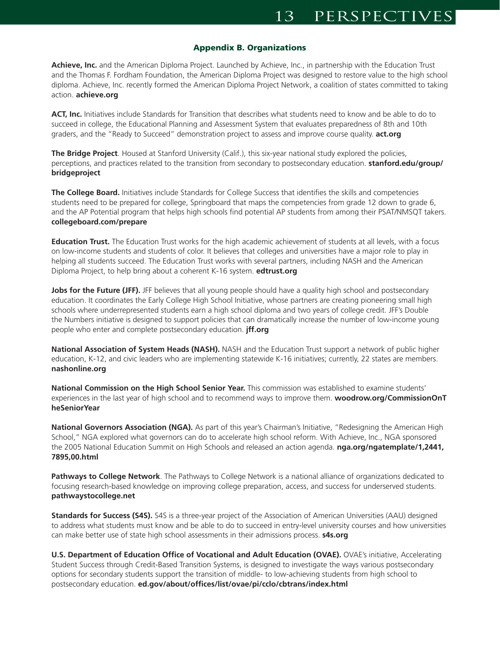#### Appendix B. Organizations

**Achieve, Inc.** and the American Diploma Project. Launched by Achieve, Inc., in partnership with the Education Trust and the Thomas F. Fordham Foundation, the American Diploma Project was designed to restore value to the high school diploma. Achieve, Inc. recently formed the American Diploma Project Network, a coalition of states committed to taking action. **achieve.org**

**ACT, Inc.** Initiatives include Standards for Transition that describes what students need to know and be able to do to succeed in college, the Educational Planning and Assessment System that evaluates preparedness of 8th and 10th graders, and the "Ready to Succeed" demonstration project to assess and improve course quality. **act.org**

**The Bridge Project**. Housed at Stanford University (Calif.), this six-year national study explored the policies, perceptions, and practices related to the transition from secondary to postsecondary education. **stanford.edu/group/ bridgeproject**

**The College Board.** Initiatives include Standards for College Success that identifies the skills and competencies students need to be prepared for college, Springboard that maps the competencies from grade 12 down to grade 6, and the AP Potential program that helps high schools find potential AP students from among their PSAT/NMSQT takers. **collegeboard.com/prepare**

**Education Trust.** The Education Trust works for the high academic achievement of students at all levels, with a focus on low-income students and students of color. It believes that colleges and universities have a major role to play in helping all students succeed. The Education Trust works with several partners, including NASH and the American Diploma Project, to help bring about a coherent K-16 system. **edtrust.org**

**Jobs for the Future (JFF).** JFF believes that all young people should have a quality high school and postsecondary education. It coordinates the Early College High School Initiative, whose partners are creating pioneering small high schools where underrepresented students earn a high school diploma and two years of college credit. JFF's Double the Numbers initiative is designed to support policies that can dramatically increase the number of low-income young people who enter and complete postsecondary education. **jff.org**

**National Association of System Heads (NASH).** NASH and the Education Trust support a network of public higher education, K-12, and civic leaders who are implementing statewide K-16 initiatives; currently, 22 states are members. **nashonline.org**

**National Commission on the High School Senior Year.** This commission was established to examine students' experiences in the last year of high school and to recommend ways to improve them. **woodrow.org/CommissionOnT heSeniorYear**

**National Governors Association (NGA).** As part of this year's Chairman's Initiative, "Redesigning the American High School," NGA explored what governors can do to accelerate high school reform. With Achieve, Inc., NGA sponsored the 2005 National Education Summit on High Schools and released an action agenda. **nga.org/ngatemplate/1,2441, 7895,00.html**

**Pathways to College Network**. The Pathways to College Network is a national alliance of organizations dedicated to focusing research-based knowledge on improving college preparation, access, and success for underserved students. **pathwaystocollege.net**

**Standards for Success (S4S).** S4S is a three-year project of the Association of American Universities (AAU) designed to address what students must know and be able to do to succeed in entry-level university courses and how universities can make better use of state high school assessments in their admissions process. **s4s.org**

**U.S. Department of Education Office of Vocational and Adult Education (OVAE).** OVAE's initiative, Accelerating Student Success through Credit-Based Transition Systems, is designed to investigate the ways various postsecondary options for secondary students support the transition of middle- to low-achieving students from high school to postsecondary education. **ed.gov/about/offices/list/ovae/pi/cclo/cbtrans/index.html**